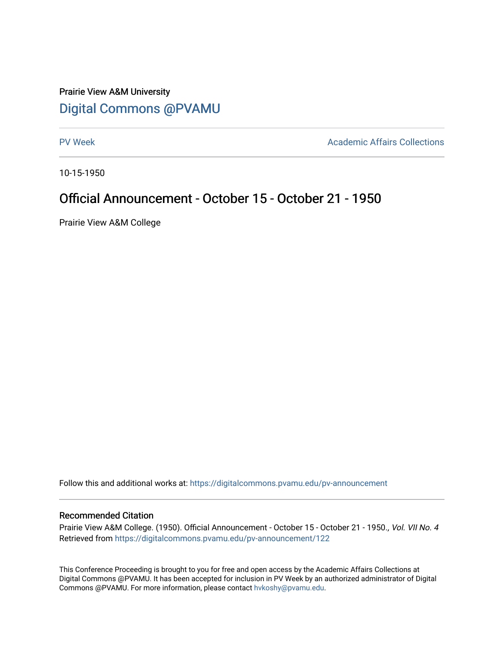## Prairie View A&M University [Digital Commons @PVAMU](https://digitalcommons.pvamu.edu/)

[PV Week](https://digitalcommons.pvamu.edu/pv-announcement) **Academic Affairs Collections** 

10-15-1950

## Official Announcement - October 15 - October 21 - 1950

Prairie View A&M College

Follow this and additional works at: [https://digitalcommons.pvamu.edu/pv-announcement](https://digitalcommons.pvamu.edu/pv-announcement?utm_source=digitalcommons.pvamu.edu%2Fpv-announcement%2F122&utm_medium=PDF&utm_campaign=PDFCoverPages) 

## Recommended Citation

Prairie View A&M College. (1950). Official Announcement - October 15 - October 21 - 1950., Vol. VII No. 4 Retrieved from [https://digitalcommons.pvamu.edu/pv-announcement/122](https://digitalcommons.pvamu.edu/pv-announcement/122?utm_source=digitalcommons.pvamu.edu%2Fpv-announcement%2F122&utm_medium=PDF&utm_campaign=PDFCoverPages) 

This Conference Proceeding is brought to you for free and open access by the Academic Affairs Collections at Digital Commons @PVAMU. It has been accepted for inclusion in PV Week by an authorized administrator of Digital Commons @PVAMU. For more information, please contact [hvkoshy@pvamu.edu.](mailto:hvkoshy@pvamu.edu)